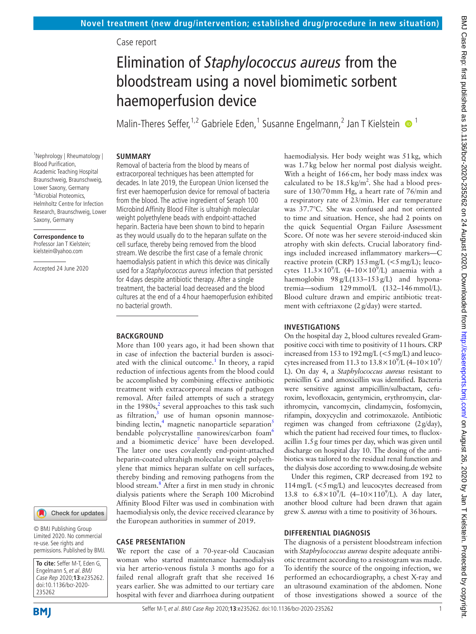# Case report

# Elimination of *Staphylococcus aureus* from the bloodstream using a novel biomimetic sorbent haemoperfusion device

Malin-Theres Seffer,<sup>1,2</sup> Gabriele Eden,<sup>1</sup> Susanne Engelmann,<sup>2</sup> Jan T Kielstein  $\bullet$ <sup>1</sup>

## **SUMMARY** Removal of bacteria from the blood by means of

1 Nephrology | Rheumatology | Blood Purification, Academic Teaching Hospital Braunschweig, Braunschweig, Lower Saxony, Germany <sup>2</sup>Microbial Proteomics, Helmholtz Centre for Infection Research, Braunschweig, Lower Saxony, Germany

#### **Correspondence to** Professor Jan T Kielstein; kielstein@yahoo.com

Accepted 24 June 2020



© BMJ Publishing Group Limited 2020. No commercial re-use. See rights and permissions. Published by BMJ.

**To cite:** Seffer M-T, Eden G, Engelmann S, et al. BMJ Case Rep 2020;**13**:e235262. doi:10.1136/bcr-2020- 235262

extracorporeal techniques has been attempted for decades. In late 2019, the European Union licensed the first ever haemoperfusion device for removal of bacteria from the blood. The active ingredient of Seraph 100 Microbind Affinity Blood Filter is ultrahigh molecular weight polyethylene beads with endpoint-attached heparin. Bacteria have been shown to bind to heparin as they would usually do to the heparan sulfate on the cell surface, thereby being removed from the blood stream. We describe the first case of a female chronic haemodialysis patient in which this device was clinically used for a Staphylococcus aureus infection that persisted for 4 days despite antibiotic therapy. After a single treatment, the bacterial load decreased and the blood cultures at the end of a 4 hour haemoperfusion exhibited no bacterial growth.

# **BACKGROUND**

More than 100 years ago, it had been shown that in case of infection the bacterial burden is associ-ated with the clinical outcome.<sup>[1](#page-2-0)</sup> In theory, a rapid reduction of infectious agents from the blood could be accomplished by combining effective antibiotic treatment with extracorporeal means of pathogen removal. After failed attempts of such a strategy in the  $1980s<sub>1</sub><sup>2</sup>$  $1980s<sub>1</sub><sup>2</sup>$  $1980s<sub>1</sub><sup>2</sup>$  several approaches to this task such as filtration,<sup>[3](#page-2-2)</sup> use of human opsonin mannose-binding lectin,<sup>4</sup> magnetic nanoparticle separation<sup>[5](#page-2-4)</sup> bendable polycrystalline nanowires/carbon foam<sup>[6](#page-2-5)</sup> and a biomimetic device<sup>[7](#page-2-6)</sup> have been developed. The later one uses covalently end-point-attached heparin-coated ultrahigh molecular weight polyethylene that mimics heparan sulfate on cell surfaces, thereby binding and removing pathogens from the blood stream.[8](#page-2-7) After a first in men study in chronic dialysis patients where the Seraph 100 Microbind Affinity Blood Filter was used in combination with haemodialysis only, the device received clearance by the European authorities in summer of 2019.

## **CASE PRESENTATION**

We report the case of a 70-year-old Caucasian woman who started maintenance haemodialysis via her arterio-venous fistula 3 months ago for a failed renal allograft graft that she received 16 years earlier. She was admitted to our tertiary care hospital with fever and diarrhoea during outpatient

haemodialysis. Her body weight was 51kg, which was 1.7kg below her normal post dialysis weight. With a height of 166cm, her body mass index was calculated to be  $18.5 \text{ kg/m}^2$ . She had a blood pressure of 130/70mm Hg, a heart rate of 76/min and a respiratory rate of 23/min. Her ear temperature was 37.7°C. She was confused and not oriented to time and situation. Hence, she had 2 points on the quick Sequential Organ Failure Assessment Score. Of note was her severe steroid-induced skin atrophy with skin defects. Crucial laboratory findings included increased inflammatory markers—C reactive protein (CRP)  $153 \text{ mg/L } \left( \text{&} 5 \text{ mg/L} \right);$  leucocytes  $11.3 \times 10^9$ /L (4-10×10<sup>9</sup>/L) anaemia with a haemoglobin 98g/L(133–153g/L) and hyponatremia—sodium 129mmol/L (132–146mmol/L). Blood culture drawn and empiric antibiotic treatment with ceftriaxone (2g/day) were started.

## **INVESTIGATIONS**

On the hospital day 2, blood cultures revealed Grampositive cocci with time to positivity of 11hours. CRP increased from 153 to 192mg/L (<5mg/L) and leucocytes increased from 11.3 to  $13.8 \times 10^9$ /L (4–10×10<sup>9</sup>/ L). On day 4, a *Staphylococcus aureus* resistant to penicillin G and amoxicillin was identified. Bacteria were sensitive against ampicillin/sulbactam, cefuroxim, levofloxacin, gentymicin, erythromycin, clarithromycin, vancomycin, clindamycin, fosfomycin, rifampin, doxycyclin and cotrimoxazole. Antibiotic regimen was changed from ceftriaxone (2g/day), which the patient had received four times, to flucloxacillin 1.5g four times per day, which was given until discharge on hospital day 10. The dosing of the antibiotics was tailored to the residual renal function and the dialysis dose according to [www.dosing.de website](www.dosing.de.)

Under this regimen, CRP decreased from 192 to 114mg/L (<5mg/L) and leucocytes decreased from 13.8 to  $6.8 \times 10^9$ /L (4-10×110<sup>9</sup>/L). A day later, another blood culture had been drawn that again grew *S. aureus* with a time to positivity of 36hours.

# **DIFFERENTIAL DIAGNOSIS**

The diagnosis of a persistent bloodstream infection with *Staphylococcus aureus* despite adequate antibiotic treatment according to a resistogram was made. To identify the source of the ongoing infection, we performed an echocardiography, a chest X-ray and an ultrasound examination of the abdomen. None of those investigations showed a source of the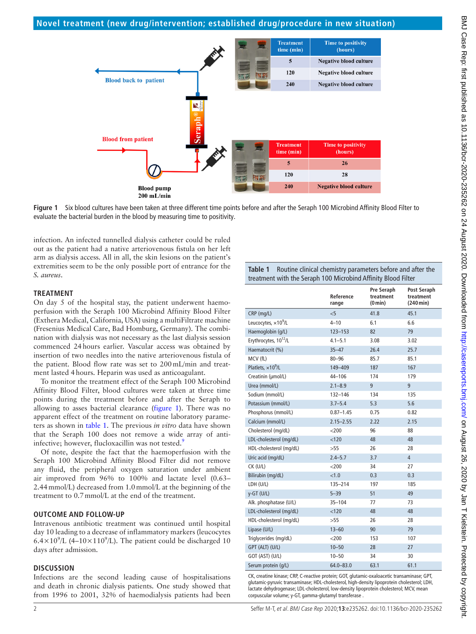

**Figure 1** Six blood cultures have been taken at three different time points before and after the Seraph 100 Microbind Affinity Blood Filter to evaluate the bacterial burden in the blood by measuring time to positivity.

infection. An infected tunnelled dialysis catheter could be ruled out as the patient had a native arteriovenous fistula on her left arm as dialysis access. All in all, the skin lesions on the patient's extremities seem to be the only possible port of entrance for the *S. aureus*.

# **TREATMENT**

On day 5 of the hospital stay, the patient underwent haemoperfusion with the Seraph 100 Microbind Affinity Blood Filter (Exthera Medical, California, USA) using a multiFiltrate machine (Fresenius Medical Care, Bad Homburg, Germany). The combination with dialysis was not necessary as the last dialysis session commenced 24hours earlier. Vascular access was obtained by insertion of two needles into the native arteriovenous fistula of the patient. Blood flow rate was set to 200mL/min and treatment lasted 4hours. Heparin was used as anticoagulant.

To monitor the treatment effect of the Seraph 100 Microbind Affinity Blood Filter, blood cultures were taken at three time points during the treatment before and after the Seraph to allowing to asses bacterial clearance ([figure](#page-1-0) 1). There was no apparent effect of the treatment on routine laboratory parameters as shown in [table](#page-1-1) 1. The previous *in vitro* data have shown that the Seraph 100 does not remove a wide array of anti-infective; however, flucloxacillin was not tested.<sup>[9](#page-2-8)</sup>

Of note, despite the fact that the haemoperfusion with the Seraph 100 Microbind Affinity Blood Filter did not remove any fluid, the peripheral oxygen saturation under ambient air improved from 96% to 100% and lactate level (0.63– 2.44mmol/L) decreased from 1.0mmol/L at the beginning of the treatment to 0.7mmol/L at the end of the treatment.

# **OUTCOME AND FOLLOW-UP**

Intravenous antibiotic treatment was continued until hospital day 10 leading to a decrease of inflammatory markers (leucocytes  $6.4 \times 10^{9}$ /L (4–10×110<sup>9</sup>/L). The patient could be discharged 10 days after admission.

# **DISCUSSION**

Infections are the second leading cause of hospitalisations and death in chronic dialysis patients. One study showed that from 1996 to 2001, 32% of haemodialysis patients had been

<span id="page-1-1"></span><span id="page-1-0"></span>

| <b>Table 1</b> Routine clinical chemistry parameters before and after the |
|---------------------------------------------------------------------------|
| treatment with the Seraph 100 Microbind Affinity Blood Filter             |

|                                   | Reference<br>range | Pre Seraph<br>treatment<br>(0 min) | Post Seraph<br>treatment<br>$(240 \text{ min})$ |
|-----------------------------------|--------------------|------------------------------------|-------------------------------------------------|
| CRP (mg/L)                        | < 5                | 41.8                               | 45.1                                            |
| Leucocytes, $\times 10^9$ /L      | $4 - 10$           | 6.1                                | 6.6                                             |
| Haemoglobin (g/L)                 | $123 - 153$        | 82                                 | 79                                              |
| Erythrocytes, 10 <sup>12</sup> /L | $4.1 - 5.1$        | 3.08                               | 3.02                                            |
| Haematocrit (%)                   | $35 - 47$          | 26.4                               | 25.7                                            |
| MCV (fL)                          | $80 - 96$          | 85.7                               | 85.1                                            |
| Platlets. $\times 10^9$ /L        | 149-409            | 187                                | 167                                             |
| Creatinin (umol/L)                | 44-106             | 174                                | 179                                             |
| Urea (mmol/L)                     | $2.1 - 8.9$        | 9                                  | 9                                               |
| Sodium (mmol/L)                   | $132 - 146$        | 134                                | 135                                             |
| Potassium (mmol/L)                | $3.7 - 5.4$        | 5.3                                | 5.6                                             |
| Phosphorus (mmol/L)               | $0.87 - 1.45$      | 0.75                               | 0.82                                            |
| Calcium (mmol/L)                  | $2.15 - 2.55$      | 2.22                               | 2.15                                            |
| Cholesterol (mg/dL)               | $<$ 200            | 96                                 | 88                                              |
| LDL-cholesterol (mg/dL)           | < 120              | 48                                 | 48                                              |
| HDL-cholesterol (mg/dL)           | >55                | 26                                 | 28                                              |
| Uric acid (mg/dL)                 | $2.4 - 5.7$        | 3.7                                | $\overline{4}$                                  |
| $CK$ (U/L)                        | $<$ 200            | 34                                 | 27                                              |
| Bilirubin (mg/dL)                 | < 1.0              | 0.3                                | 0.3                                             |
| LDH (U/L)                         | 135-214            | 197                                | 185                                             |
| $y-GT$ (U/L)                      | $5 - 39$           | 51                                 | 49                                              |
| Alk. phosphatase (U/L)            | $35 - 104$         | 77                                 | 73                                              |
| LDL-cholesterol (mg/dL)           | < 120              | 48                                 | 48                                              |
| HDL-cholesterol (mg/dL)           | >55                | 26                                 | 28                                              |
| Lipase (U/L)                      | $13 - 60$          | 90                                 | 79                                              |
| Triglycerides (mg/dL)             | $<$ 200            | 153                                | 107                                             |
| GPT (ALT) (U/L)                   | $10 - 50$          | 28                                 | 27                                              |
| GOT (AST) (U/L)                   | $10 - 50$          | 34                                 | 30                                              |
| Serum protein (q/L)               | $64.0 - 83.0$      | 63.1                               | 61.1                                            |

CK, creatine kinase; CRP, C-reactive protein; GOT, glutamic-oxaloacetic transaminase; GPT, glutamic-pyruvic transaminase; HDL-cholesterol, high-density lipoprotein cholesterol; LDH, lactate dehydrogenase; LDL-cholesterol, low-density lipoprotein cholesterol; MCV, mean corpuscular volume; y-GT, gamma-glutamyl transferase .